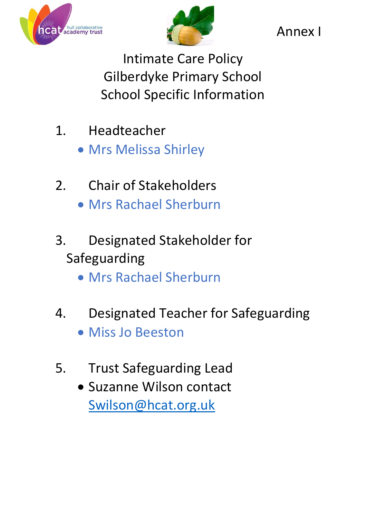



Annex I

Intimate Care Policy Gilberdyke Primary School School Specific Information

- 1. Headteacher
	- Mrs Melissa Shirley
- 2. Chair of Stakeholders Mrs Rachael Sherburn
- 3. Designated Stakeholder for Safeguarding
	- Mrs Rachael Sherburn
- 4. Designated Teacher for Safeguarding
	- Miss Jo Beeston
- 5. Trust Safeguarding Lead
	- Suzanne Wilson contact [Swilson@hcat.org.uk](mailto:Swilson@hcat.org.uk)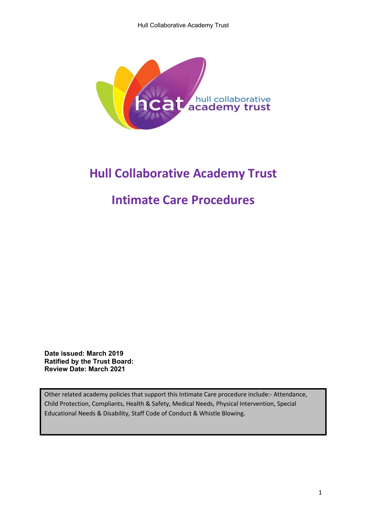

# **Hull Collaborative Academy Trust**

## **Intimate Care Procedures**

**Date issued: March 2019 Ratified by the Trust Board: Review Date: March 2021**

Other related academy policies that support this Intimate Care procedure include:- Attendance, Child Protection, Compliants, Health & Safety, Medical Needs, Physical Intervention, Special Educational Needs & Disability, Staff Code of Conduct & Whistle Blowing.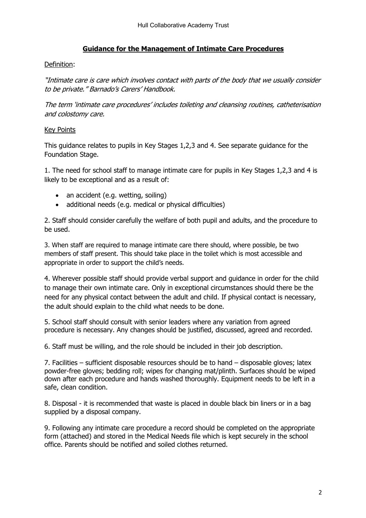### **Guidance for the Management of Intimate Care Procedures**

#### Definition:

"Intimate care is care which involves contact with parts of the body that we usually consider to be private." Barnado's Carers' Handbook.

The term 'intimate care procedures' includes toileting and cleansing routines, catheterisation and colostomy care.

#### Key Points

This guidance relates to pupils in Key Stages 1,2,3 and 4. See separate guidance for the Foundation Stage.

1. The need for school staff to manage intimate care for pupils in Key Stages 1,2,3 and 4 is likely to be exceptional and as a result of:

- an accident (e.g. wetting, soiling)
- additional needs (e.g. medical or physical difficulties)

2. Staff should consider carefully the welfare of both pupil and adults, and the procedure to be used.

3. When staff are required to manage intimate care there should, where possible, be two members of staff present. This should take place in the toilet which is most accessible and appropriate in order to support the child's needs.

4. Wherever possible staff should provide verbal support and guidance in order for the child to manage their own intimate care. Only in exceptional circumstances should there be the need for any physical contact between the adult and child. If physical contact is necessary, the adult should explain to the child what needs to be done.

5. School staff should consult with senior leaders where any variation from agreed procedure is necessary. Any changes should be justified, discussed, agreed and recorded.

6. Staff must be willing, and the role should be included in their job description.

7. Facilities – sufficient disposable resources should be to hand – disposable gloves; latex powder-free gloves; bedding roll; wipes for changing mat/plinth. Surfaces should be wiped down after each procedure and hands washed thoroughly. Equipment needs to be left in a safe, clean condition.

8. Disposal - it is recommended that waste is placed in double black bin liners or in a bag supplied by a disposal company.

9. Following any intimate care procedure a record should be completed on the appropriate form (attached) and stored in the Medical Needs file which is kept securely in the school office. Parents should be notified and soiled clothes returned.